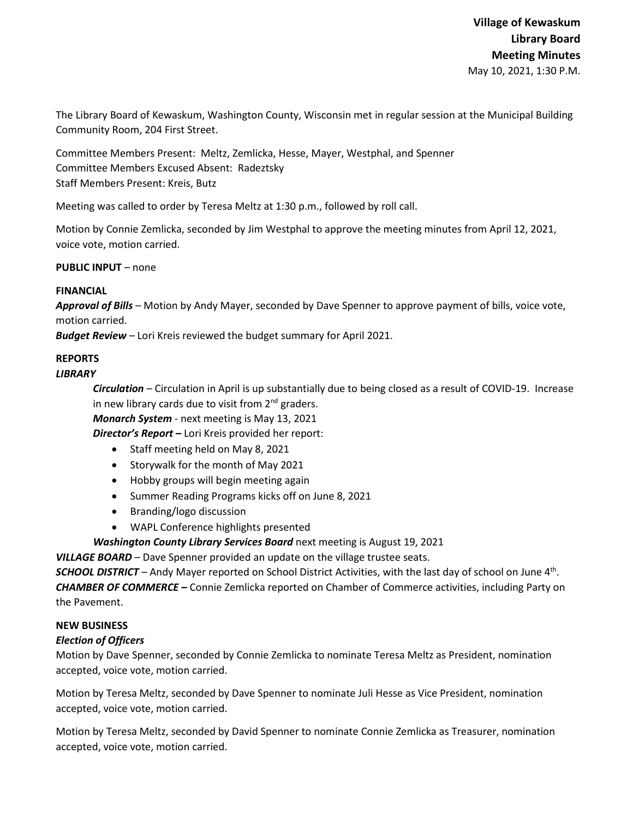The Library Board of Kewaskum, Washington County, Wisconsin met in regular session at the Municipal Building Community Room, 204 First Street.

Committee Members Present: Meltz, Zemlicka, Hesse, Mayer, Westphal, and Spenner Committee Members Excused Absent: Radeztsky Staff Members Present: Kreis, Butz

Meeting was called to order by Teresa Meltz at 1:30 p.m., followed by roll call.

Motion by Connie Zemlicka, seconded by Jim Westphal to approve the meeting minutes from April 12, 2021, voice vote, motion carried.

**PUBLIC INPUT** – none

# **FINANCIAL**

*Approval of Bills –* Motion by Andy Mayer, seconded by Dave Spenner to approve payment of bills, voice vote, motion carried.

*Budget Review* – Lori Kreis reviewed the budget summary for April 2021.

# **REPORTS**

# *LIBRARY*

*Circulation* – Circulation in April is up substantially due to being closed as a result of COVID-19. Increase in new library cards due to visit from  $2<sup>nd</sup>$  graders.

*Monarch System* - next meeting is May 13, 2021

*Director's Report* **–** Lori Kreis provided her report:

- Staff meeting held on May 8, 2021
- Storywalk for the month of May 2021
- Hobby groups will begin meeting again
- Summer Reading Programs kicks off on June 8, 2021
- Branding/logo discussion
- WAPL Conference highlights presented

*Washington County Library Services Board* next meeting is August 19, 2021

*VILLAGE BOARD* – Dave Spenner provided an update on the village trustee seats.

*SCHOOL DISTRICT* – Andy Mayer reported on School District Activities, with the last day of school on June 4th. *CHAMBER OF COMMERCE –* Connie Zemlicka reported on Chamber of Commerce activities, including Party on the Pavement.

### **NEW BUSINESS**

### *Election of Officers*

Motion by Dave Spenner, seconded by Connie Zemlicka to nominate Teresa Meltz as President, nomination accepted, voice vote, motion carried.

Motion by Teresa Meltz, seconded by Dave Spenner to nominate Juli Hesse as Vice President, nomination accepted, voice vote, motion carried.

Motion by Teresa Meltz, seconded by David Spenner to nominate Connie Zemlicka as Treasurer, nomination accepted, voice vote, motion carried.